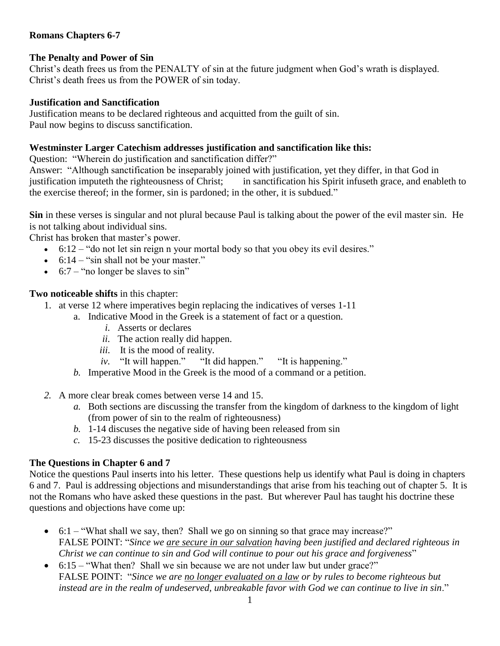## **Romans Chapters 6-7**

## **The Penalty and Power of Sin**

Christ's death frees us from the PENALTY of sin at the future judgment when God's wrath is displayed. Christ's death frees us from the POWER of sin today.

## **Justification and Sanctification**

Justification means to be declared righteous and acquitted from the guilt of sin. Paul now begins to discuss sanctification.

## **Westminster Larger Catechism addresses justification and sanctification like this:**

Question: "Wherein do justification and sanctification differ?"

Answer: "Although sanctification be inseparably joined with justification, yet they differ, in that God in justification imputeth the righteousness of Christ; in sanctification his Spirit infuseth grace, and enableth to the exercise thereof; in the former, sin is pardoned; in the other, it is subdued."

**Sin** in these verses is singular and not plural because Paul is talking about the power of the evil master sin. He is not talking about individual sins.

Christ has broken that master's power.

- $\bullet$  6:12 "do not let sin reign n your mortal body so that you obey its evil desires."
- $\bullet$  6:14 "sin shall not be your master."
- $\bullet$  6:7 "no longer be slaves to sin"

**Two noticeable shifts** in this chapter:

- 1. at verse 12 where imperatives begin replacing the indicatives of verses 1-11
	- a. Indicative Mood in the Greek is a statement of fact or a question.
		- *i.* Asserts or declares
		- *ii.* The action really did happen.
		- *iii.* It is the mood of reality.
		- *iv.* "It will happen." "It did happen." "It is happening."
	- *b.* Imperative Mood in the Greek is the mood of a command or a petition.
- *2.* A more clear break comes between verse 14 and 15.
	- *a.* Both sections are discussing the transfer from the kingdom of darkness to the kingdom of light (from power of sin to the realm of righteousness)
	- *b.* 1-14 discuses the negative side of having been released from sin
	- *c.* 15-23 discusses the positive dedication to righteousness

## **The Questions in Chapter 6 and 7**

Notice the questions Paul inserts into his letter. These questions help us identify what Paul is doing in chapters 6 and 7. Paul is addressing objections and misunderstandings that arise from his teaching out of chapter 5. It is not the Romans who have asked these questions in the past. But wherever Paul has taught his doctrine these questions and objections have come up:

- $\bullet$  6:1 "What shall we say, then? Shall we go on sinning so that grace may increase?" FALSE POINT: "*Since we are secure in our salvation having been justified and declared righteous in Christ we can continue to sin and God will continue to pour out his grace and forgiveness*"
- 6:15 "What then? Shall we sin because we are not under law but under grace?" FALSE POINT: "*Since we are no longer evaluated on a law or by rules to become righteous but instead are in the realm of undeserved, unbreakable favor with God we can continue to live in sin*."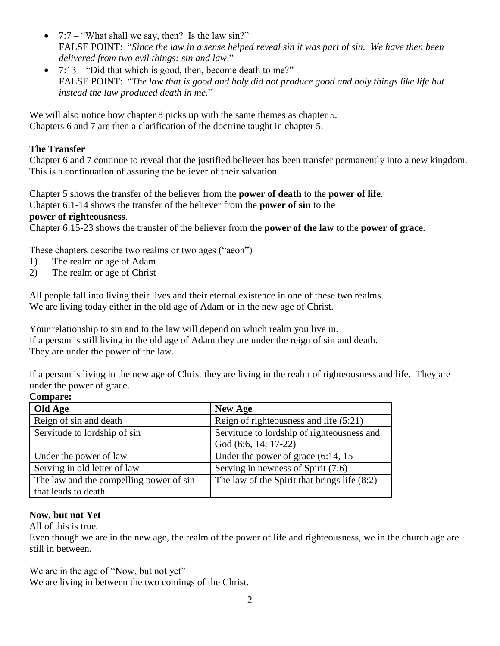- $7:7 -$  "What shall we say, then? Is the law sin?" FALSE POINT: "*Since the law in a sense helped reveal sin it was part of sin. We have then been delivered from two evil things: sin and law*."
- 7:13 "Did that which is good, then, become death to me?" FALSE POINT: "*The law that is good and holy did not produce good and holy things like life but instead the law produced death in me*."

We will also notice how chapter 8 picks up with the same themes as chapter 5. Chapters 6 and 7 are then a clarification of the doctrine taught in chapter 5.

## **The Transfer**

Chapter 6 and 7 continue to reveal that the justified believer has been transfer permanently into a new kingdom. This is a continuation of assuring the believer of their salvation.

Chapter 5 shows the transfer of the believer from the **power of death** to the **power of life**.

Chapter 6:1-14 shows the transfer of the believer from the **power of sin** to the

## **power of righteousness**.

Chapter 6:15-23 shows the transfer of the believer from the **power of the law** to the **power of grace**.

These chapters describe two realms or two ages ("aeon")

- 1) The realm or age of Adam
- 2) The realm or age of Christ

All people fall into living their lives and their eternal existence in one of these two realms. We are living today either in the old age of Adam or in the new age of Christ.

Your relationship to sin and to the law will depend on which realm you live in. If a person is still living in the old age of Adam they are under the reign of sin and death. They are under the power of the law.

If a person is living in the new age of Christ they are living in the realm of righteousness and life. They are under the power of grace.

#### **Compare:**

| Old Age                                 | <b>New Age</b>                                                     |
|-----------------------------------------|--------------------------------------------------------------------|
| Reign of sin and death                  | Reign of righteousness and life $(5:21)$                           |
| Servitude to lordship of sin            | Servitude to lordship of righteousness and<br>God (6:6, 14; 17-22) |
| Under the power of law                  | Under the power of grace $(6:14, 15)$                              |
| Serving in old letter of law            | Serving in newness of Spirit (7:6)                                 |
| The law and the compelling power of sin | The law of the Spirit that brings life (8:2)                       |
| that leads to death                     |                                                                    |

## **Now, but not Yet**

All of this is true.

Even though we are in the new age, the realm of the power of life and righteousness, we in the church age are still in between.

We are in the age of "Now, but not yet"

We are living in between the two comings of the Christ.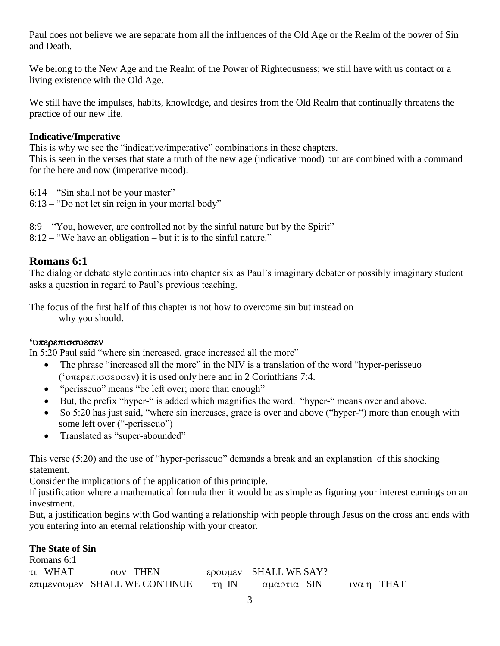Paul does not believe we are separate from all the influences of the Old Age or the Realm of the power of Sin and Death.

We belong to the New Age and the Realm of the Power of Righteousness; we still have with us contact or a living existence with the Old Age.

We still have the impulses, habits, knowledge, and desires from the Old Realm that continually threatens the practice of our new life.

## **Indicative/Imperative**

This is why we see the "indicative/imperative" combinations in these chapters.

This is seen in the verses that state a truth of the new age (indicative mood) but are combined with a command for the here and now (imperative mood).

6:14 – "Sin shall not be your master"

6:13 – "Do not let sin reign in your mortal body"

8:9 – "You, however, are controlled not by the sinful nature but by the Spirit" 8:12 – "We have an obligation – but it is to the sinful nature."

## **Romans 6:1**

The dialog or debate style continues into chapter six as Paul's imaginary debater or possibly imaginary student asks a question in regard to Paul's previous teaching.

The focus of the first half of this chapter is not how to overcome sin but instead on why you should.

## **'**

In 5:20 Paul said "where sin increased, grace increased all the more"

- The phrase "increased all the more" in the NIV is a translation of the word "hyper-perisseuo" ('υπερεπισσευσεν) it is used only here and in 2 Corinthians 7:4.
- "perisseuo" means "be left over; more than enough"
- But, the prefix "hyper-" is added which magnifies the word. "hyper-" means over and above.
- So 5:20 has just said, "where sin increases, grace is over and above ("hyper-") more than enough with some left over ("-perisseuo")
- Translated as "super-abounded"

This verse (5:20) and the use of "hyper-perisseuo" demands a break and an explanation of this shocking statement.

Consider the implications of the application of this principle.

If justification where a mathematical formula then it would be as simple as figuring your interest earnings on an investment.

But, a justification begins with God wanting a relationship with people through Jesus on the cross and ends with you entering into an eternal relationship with your creator.

## **The State of Sin**

| Romans 6:1 |                                                                                     |                       |              |
|------------|-------------------------------------------------------------------------------------|-----------------------|--------------|
| τι WHAT    | ovy THEN                                                                            | ερουμεν SHALL WE SAY? |              |
|            | $\epsilon \pi \mu \epsilon$ vov $\mu \epsilon \nu$ SHALL WE CONTINUE $\tau \eta$ IN | αμαρτια SIN           | ινα η $THAT$ |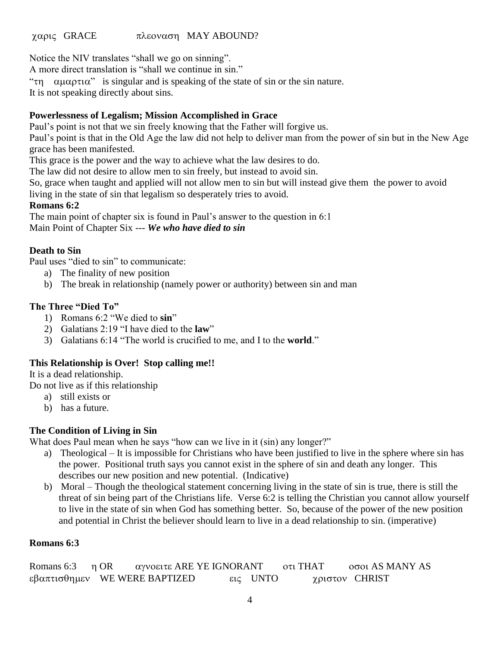## χαρις GRACE πλεοναση MAY ABOUND?

Notice the NIV translates "shall we go on sinning".

A more direct translation is "shall we continue in sin."

" $\tau$   $\alpha$  $\mu$  $\alpha$  $\beta$   $\alpha$ <sup>"</sup> is singular and is speaking of the state of sin or the sin nature.

It is not speaking directly about sins.

## **Powerlessness of Legalism; Mission Accomplished in Grace**

Paul's point is not that we sin freely knowing that the Father will forgive us.

Paul's point is that in the Old Age the law did not help to deliver man from the power of sin but in the New Age grace has been manifested.

This grace is the power and the way to achieve what the law desires to do.

The law did not desire to allow men to sin freely, but instead to avoid sin.

So, grace when taught and applied will not allow men to sin but will instead give them the power to avoid living in the state of sin that legalism so desperately tries to avoid.

#### **Romans 6:2**

The main point of chapter six is found in Paul's answer to the question in 6:1 Main Point of Chapter Six --- *We who have died to sin*

## **Death to Sin**

Paul uses "died to sin" to communicate:

- a) The finality of new position
- b) The break in relationship (namely power or authority) between sin and man

## **The Three "Died To"**

- 1) Romans 6:2 "We died to **sin**"
- 2) Galatians 2:19 "I have died to the **law**"
- 3) Galatians 6:14 "The world is crucified to me, and I to the **world**."

## **This Relationship is Over! Stop calling me!!**

It is a dead relationship.

Do not live as if this relationship

- a) still exists or
- b) has a future.

## **The Condition of Living in Sin**

What does Paul mean when he says "how can we live in it (sin) any longer?"

- a) Theological It is impossible for Christians who have been justified to live in the sphere where sin has the power. Positional truth says you cannot exist in the sphere of sin and death any longer. This describes our new position and new potential. (Indicative)
- b) Moral Though the theological statement concerning living in the state of sin is true, there is still the threat of sin being part of the Christians life. Verse 6:2 is telling the Christian you cannot allow yourself to live in the state of sin when God has something better. So, because of the power of the new position and potential in Christ the believer should learn to live in a dead relationship to sin. (imperative)

## **Romans 6:3**

| Romans 6:3 $\eta$ OR | αγνοειτε ARE YE IGNORANT                                                                    |          | $\sigma$ τι THAT | οσοι AS MANY AS |
|----------------------|---------------------------------------------------------------------------------------------|----------|------------------|-----------------|
|                      | $\epsilon \beta \alpha \pi \tau \iota \sigma \theta \eta \mu \epsilon \nu$ WE WERE BAPTIZED | εις UNTO |                  | χριστον CHRIST  |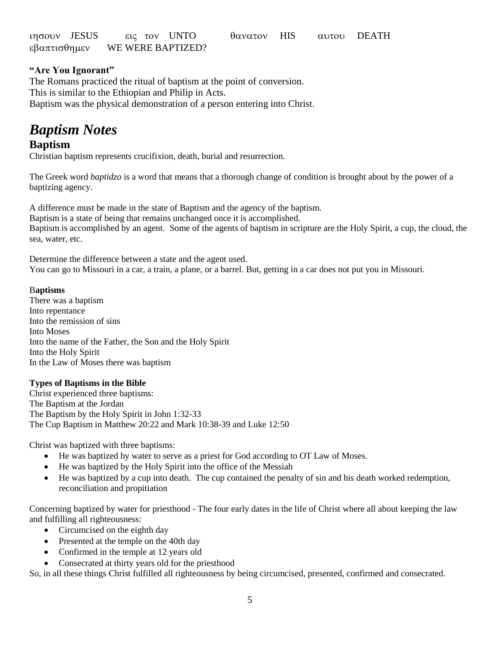| ιησουν JESUS |  | εις τον UNTO      | θανατον HIS |  | αυτου DEATH |  |
|--------------|--|-------------------|-------------|--|-------------|--|
| εβαπτισθημεν |  | WE WERE BAPTIZED? |             |  |             |  |

## **"Are You Ignorant"**

The Romans practiced the ritual of baptism at the point of conversion. This is similar to the Ethiopian and Philip in Acts. Baptism was the physical demonstration of a person entering into Christ.

# *Baptism Notes*

## **Baptism**

Christian baptism represents crucifixion, death, burial and resurrection.

The Greek word *baptidzo* is a word that means that a thorough change of condition is brought about by the power of a baptizing agency.

A difference must be made in the state of Baptism and the agency of the baptism.

Baptism is a state of being that remains unchanged once it is accomplished.

Baptism is accomplished by an agent. Some of the agents of baptism in scripture are the Holy Spirit, a cup, the cloud, the sea, water, etc.

Determine the difference between a state and the agent used. You can go to Missouri in a car, a train, a plane, or a barrel. But, getting in a car does not put you in Missouri.

#### B**aptisms**

There was a baptism Into repentance Into the remission of sins Into Moses Into the name of the Father, the Son and the Holy Spirit Into the Holy Spirit In the Law of Moses there was baptism

#### **Types of Baptisms in the Bible**

Christ experienced three baptisms: The Baptism at the Jordan The Baptism by the Holy Spirit in John 1:32-33 The Cup Baptism in Matthew 20:22 and Mark 10:38-39 and Luke 12:50

Christ was baptized with three baptisms:

- He was baptized by water to serve as a priest for God according to OT Law of Moses.
- He was baptized by the Holy Spirit into the office of the Messiah
- He was baptized by a cup into death. The cup contained the penalty of sin and his death worked redemption, reconciliation and propitiation

Concerning baptized by water for priesthood - The four early dates in the life of Christ where all about keeping the law and fulfilling all righteousness:

- Circumcised on the eighth day
- Presented at the temple on the 40th day
- Confirmed in the temple at 12 years old
- Consecrated at thirty years old for the priesthood

So, in all these things Christ fulfilled all righteousness by being circumcised, presented, confirmed and consecrated.